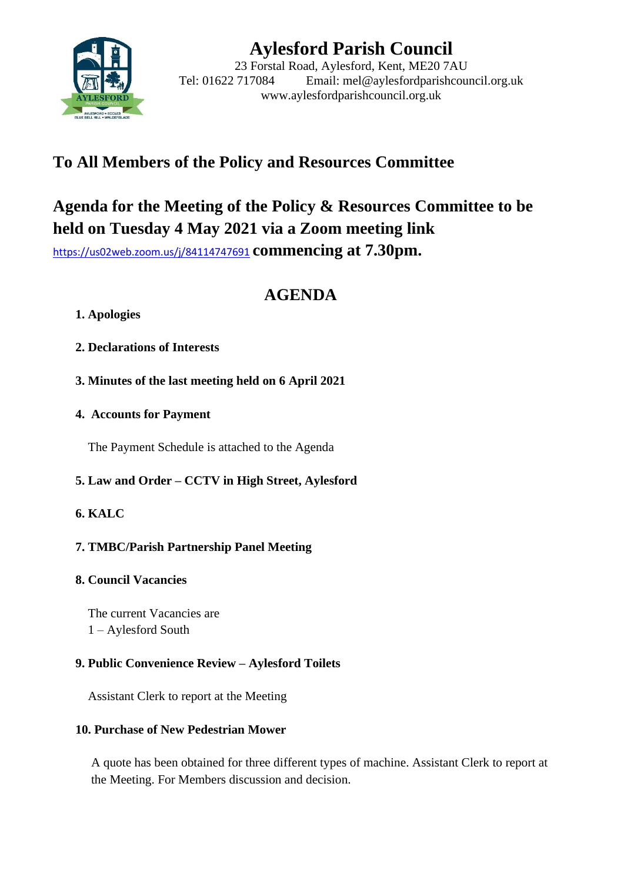

# **Aylesford Parish Council**

23 Forstal Road, Aylesford, Kent, ME20 7AU Tel: 01622 717084 Email: mel@aylesfordparishcouncil.org.uk www.aylesfordparishcouncil.org.uk

## **To All Members of the Policy and Resources Committee**

## **Agenda for the Meeting of the Policy & Resources Committee to be held on Tuesday 4 May 2021 via a Zoom meeting link**

<https://us02web.zoom.us/j/84114747691> **commencing at 7.30pm.**

## **AGENDA**

## **1. Apologies**

- **2. Declarations of Interests**
- **3. Minutes of the last meeting held on 6 April 2021**
- **4. Accounts for Payment**

The Payment Schedule is attached to the Agenda

**5. Law and Order – CCTV in High Street, Aylesford**

## **6. KALC**

## **7. TMBC/Parish Partnership Panel Meeting**

## **8. Council Vacancies**

The current Vacancies are 1 – Aylesford South

## **9. Public Convenience Review – Aylesford Toilets**

Assistant Clerk to report at the Meeting

## **10. Purchase of New Pedestrian Mower**

A quote has been obtained for three different types of machine. Assistant Clerk to report at the Meeting. For Members discussion and decision.